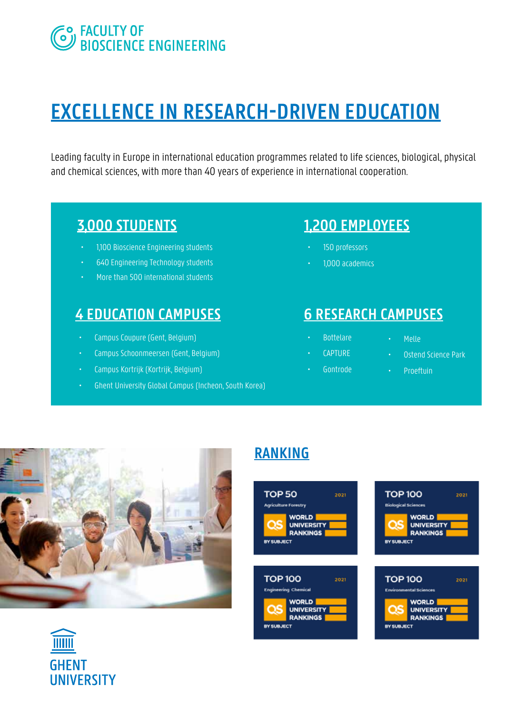# **EO FACULTY OF<br>CO BIOSCIENCE ENGINEERING**

# **EXCELLENCE IN RESEARCH-DRIVEN EDUCATION**

Leading faculty in Europe in international education programmes related to life sciences, biological, physical and chemical sciences, with more than 40 years of experience in international cooperation.

### **3,000 STUDENTS**

- 1,100 Bioscience Engineering students
- 640 Engineering Technology students
- More than 500 international students

## **4 EDUCATION CAMPUSES 6 RESEARCH CAMPUSES**

- Campus Coupure (Gent, Belgium)
- Campus Schoonmeersen (Gent, Belgium)
- Campus Kortrijk (Kortrijk, Belgium)
- Ghent University Global Campus (Incheon, South Korea)

## **1,200 EMPLOYEES**

- 150 professors
- 1,000 academics

- Bottelare • CAPTURE
- Melle
- Ostend Science Park
- Gontrode
- 
- Proeftuin





**UNIVERSITY** 

# **RANKING**

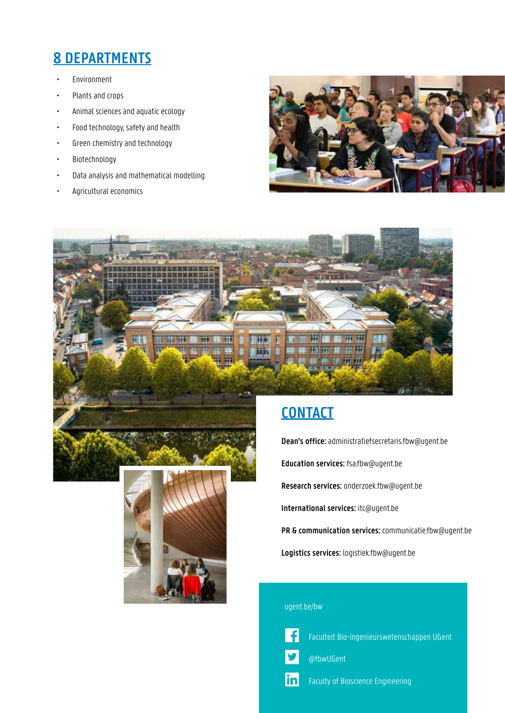### **8 DEPARTMENTS**

- Environment
- Plants and crops
- Animal sciences and aquatic ecology
- Food technology, safety and health
- Green chemistry and technology
- Biotechnology
- Data analysis and mathematical modelling
- Agricultural economics







**Dean's office:** administratiefsecretaris.fbw@ugent.be

**Education services:** fsa.fbw@ugent.be

**Research services:** onderzoek.fbw@ugent.be

**International services:** itc@ugent.be

**PR & communication services:** communicatie.fbw@ugent.be

**Logistics services:** logistiek.fbw@ugent.be

#### ugent.be/bw



Faculteit Bio-ingenieurswetenschappen UGent

@fbwUGent

lin Faculty of Bioscience Engineering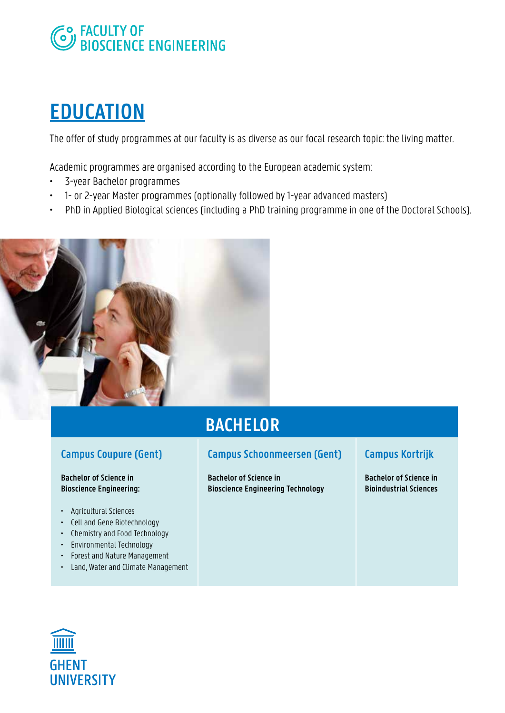

# **EDUCATION**

The offer of study programmes at our faculty is as diverse as our focal research topic: the living matter.

Academic programmes are organised according to the European academic system:

- 3-year Bachelor programmes
- 1- or 2-year Master programmes (optionally followed by 1-year advanced masters)
- PhD in Applied Biological sciences (including a PhD training programme in one of the Doctoral Schools).



# **BACHELOR**

### **Campus Coupure (Gent)**

#### **Bachelor of Science in Bioscience Engineering:**

- Agricultural Sciences
- Cell and Gene Biotechnology
- Chemistry and Food Technology
- Environmental Technology
- Forest and Nature Management
- Land, Water and Climate Management

### **Campus Schoonmeersen (Gent)**

**Bachelor of Science in Bioscience Engineering Technology**

#### **Campus Kortrijk**

**Bachelor of Science in Bioindustrial Sciences**

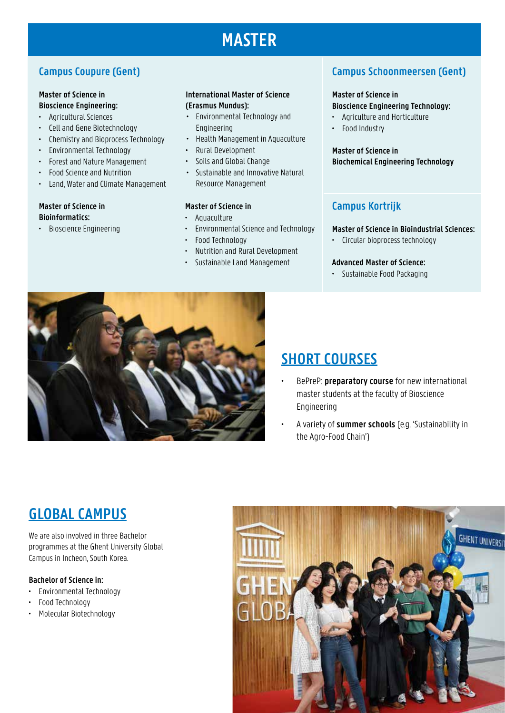# **MASTER**

### **Campus Coupure (Gent)**

#### **Master of Science in Bioscience Engineering:**

- Agricultural Sciences
- Cell and Gene Biotechnology
- Chemistry and Bioprocess Technology
- Environmental Technology
- Forest and Nature Management
- Food Science and Nutrition
- Land, Water and Climate Management

#### **Master of Science in Bioinformatics:**

• Bioscience Engineering

#### **International Master of Science (Erasmus Mundus):**

- Environmental Technology and Engineering
- Health Management in Aquaculture
- Rural Development
- Soils and Global Change
- Sustainable and Innovative Natural Resource Management

#### **Master of Science in**

- Aquaculture
- Environmental Science and Technology
- Food Technology
- Nutrition and Rural Development
- Sustainable Land Management

### **Campus Schoonmeersen (Gent)**

#### **Master of Science in**

#### **Bioscience Engineering Technology:**

- Agriculture and Horticulture
- Food Industry

#### **Master of Science in Biochemical Engineering Technology**

### **Campus Kortrijk**

#### **Master of Science in Bioindustrial Sciences:**

• Circular bioprocess technology

#### **Advanced Master of Science:**

• Sustainable Food Packaging



### **SHORT COURSES**

- BePreP: **preparatory course** for new international master students at the faculty of Bioscience Engineering
- A variety of **summer schools** (e.g. 'Sustainability in the Agro-Food Chain')

# **GLOBAL CAMPUS**

We are also involved in three Bachelor programmes at the Ghent University Global Campus in Incheon, South Korea.

#### **Bachelor of Science in:**

- Environmental Technology
- Food Technology
- Molecular Biotechnology

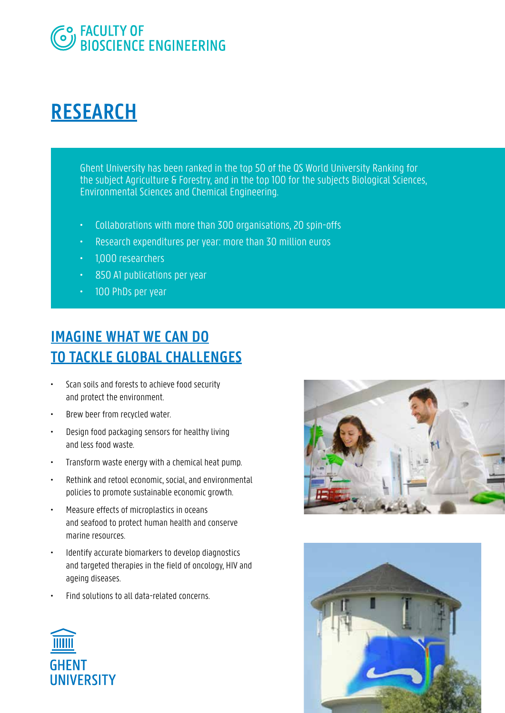

# **RESEARCH**

Ghent University has been ranked in the top 50 of the QS World University Ranking for the subject Agriculture & Forestry, and in the top 100 for the subjects Biological Sciences, Environmental Sciences and Chemical Engineering.

- Collaborations with more than 300 organisations, 20 spin-offs
- Research expenditures per year: more than 30 million euros
- 1,000 researchers
- 850 A1 publications per year
- 100 PhDs per year

# **IMAGINE WHAT WE CAN DO TO TACKLE GLOBAL CHALLENGES**

- Scan soils and forests to achieve food security and protect the environment.
- Brew beer from recycled water.
- Design food packaging sensors for healthy living and less food waste.
- Transform waste energy with a chemical heat pump.
- Rethink and retool economic, social, and environmental policies to promote sustainable economic growth.
- Measure effects of microplastics in oceans and seafood to protect human health and conserve marine resources.
- Identify accurate biomarkers to develop diagnostics and targeted therapies in the field of oncology, HIV and ageing diseases.
- Find solutions to all data-related concerns.





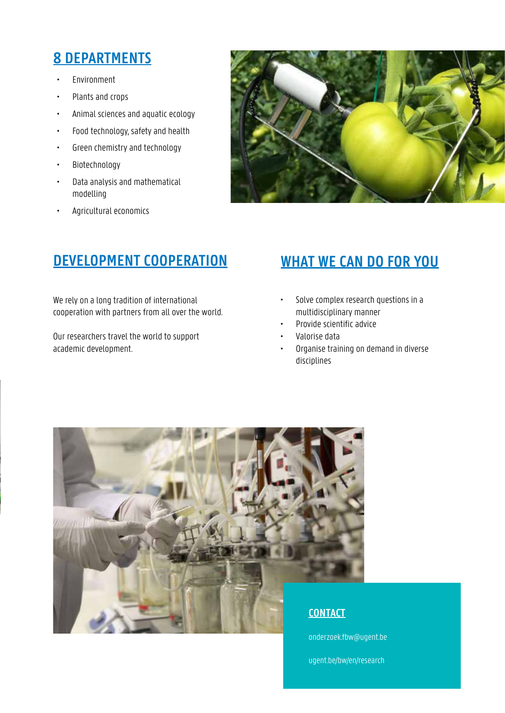### **8 DEPARTMENTS**

- Environment
- Plants and crops
- Animal sciences and aquatic ecology
- Food technology, safety and health
- Green chemistry and technology
- Biotechnology
- Data analysis and mathematical modelling
- Agricultural economics



### **DEVELOPMENT COOPERATION WHAT WE CAN DO FOR YOU**

We rely on a long tradition of international cooperation with partners from all over the world.

Our researchers travel the world to support academic development.

- Solve complex research questions in a multidisciplinary manner
- Provide scientific advice
- Valorise data
- Organise training on demand in diverse disciplines



onderzoek.fbw@ugent.be

ugent.be/bw/en/research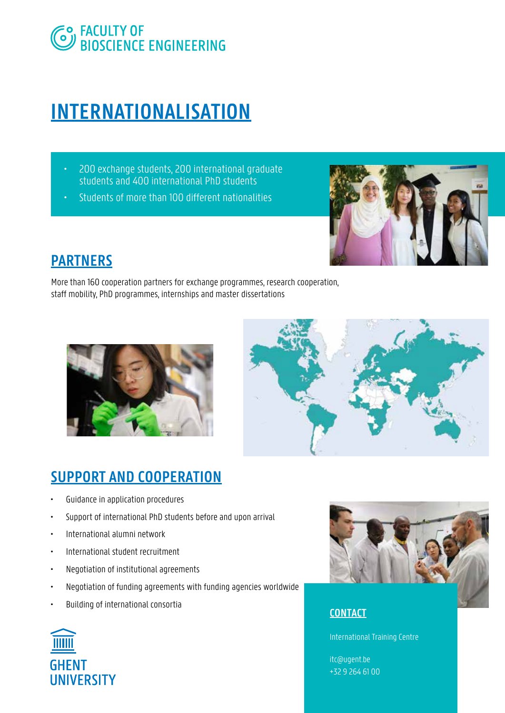

# **INTERNATIONALISATION**

- 200 exchange students, 200 international graduate students and 400 international PhD students
- Students of more than 100 different nationalities



### **PARTNERS**

More than 160 cooperation partners for exchange programmes, research cooperation, staff mobility, PhD programmes, internships and master dissertations





### **SUPPORT AND COOPERATION**

- Guidance in application procedures
- Support of international PhD students before and upon arrival
- International alumni network
- International student recruitment
- Negotiation of institutional agreements
- Negotiation of funding agreements with funding agencies worldwide
- Building of international consortia



### **CONTACT**

International Training Centre

itc@ugent.be +32 9 264 61 00

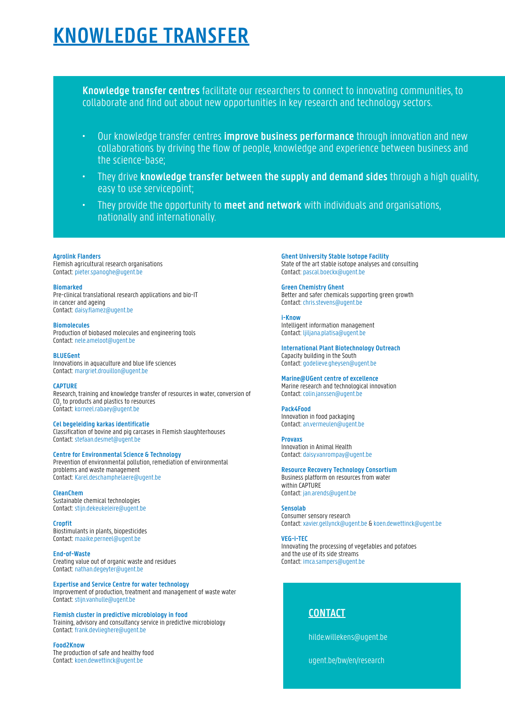# **KNOWLEDGE TRANSFER**

**Knowledge transfer centres** facilitate our researchers to connect to innovating communities, to collaborate and find out about new opportunities in key research and technology sectors.

- Our knowledge transfer centres **improve business performance** through innovation and new collaborations by driving the flow of people, knowledge and experience between business and the science-base;
- They drive **knowledge transfer between the supply and demand sides** through a high quality, easy to use servicepoint;
- They provide the opportunity to **meet and network** with individuals and organisations, nationally and internationally.

#### **Agrolink Flanders**

Flemish agricultural research organisations Contact: pieter.spanoghe@ugent.be

#### **Biomarked**

Pre-clinical translational research applications and bio-IT in cancer and ageing Contact: daisy.flamez@ugent.be

#### **Biomolecules**

Production of biobased molecules and engineering tools Contact: nele.ameloot@ugent.be

#### **BLUEGent**

Innovations in aquaculture and blue life sciences Contact: margriet.drouillon@ugent.be

#### **CAPTURE**

Research, training and knowledge transfer of resources in water, conversion of CO<sub>2</sub> to products and plastics to resources Contact: korneel.rabaey@ugent.be

#### **Cel begeleiding karkas identificatie**

Classification of bovine and pig carcases in Flemish slaughterhouses Contact: stefaan.desmet@ugent.be

#### **Centre for Environmental Science & Technology**

Prevention of environmental pollution, remediation of environmental problems and waste management Contact: Karel.deschamphelaere@ugent.be

#### **CleanChem**

Sustainable chemical technologies Contact: stijn.dekeukeleire@ugent.be

**Cropfit** Biostimulants in plants, biopesticides Contact: maaike.perneel@ugent.be

#### **End-of-Waste**

Creating value out of organic waste and residues Contact: nathan.degeyter@ugent.be

**Expertise and Service Centre for water technology**  Improvement of production, treatment and management of waste water Contact: stijn.vanhulle@ugent.be

#### **Flemish cluster in predictive microbiology in food**

Training, advisory and consultancy service in predictive microbiology Contact: frank.devlieghere@ugent.be

#### **Food2Know**

The production of safe and healthy food Contact: koen.dewettinck@ugent.be

**Ghent University Stable Isotope Facility** State of the art stable isotope analyses and consulting Contact: pascal.boeckx@ugent.be

**Green Chemistry Ghent** Better and safer chemicals supporting green growth Contact: chris.stevens@ugent.be

#### **i-Know**

Intelligent information management Contact: ljiljana.platisa@ugent.be

**International Plant Biotechnology Outreach** Capacity building in the South Contact: godelieve.gheysen@ugent.be

#### **Marine@UGent centre of excellence**

Marine research and technological innovation Contact: colin.janssen@ugent.be

#### **Pack4Food**

Innovation in food packaging Contact: an.vermeulen@ugent.be

**Provaxs** Innovation in Animal Health Contact: daisy.vanrompay@ugent.be

**Resource Recovery Technology Consortium** Business platform on resources from water within CAPTURE Contact: jan.arends@ugent.be

**Sensolab** Consumer sensory research Contact: xavier.gellynck@ugent.be & koen.dewettinck@ugent.be

#### **VEG-i-TEC**

Innovating the processing of vegetables and potatoes and the use of its side streams Contact: imca.sampers@ugent.be

### **CONTACT**

hilde.willekens@ugent.be

ugent.be/bw/en/research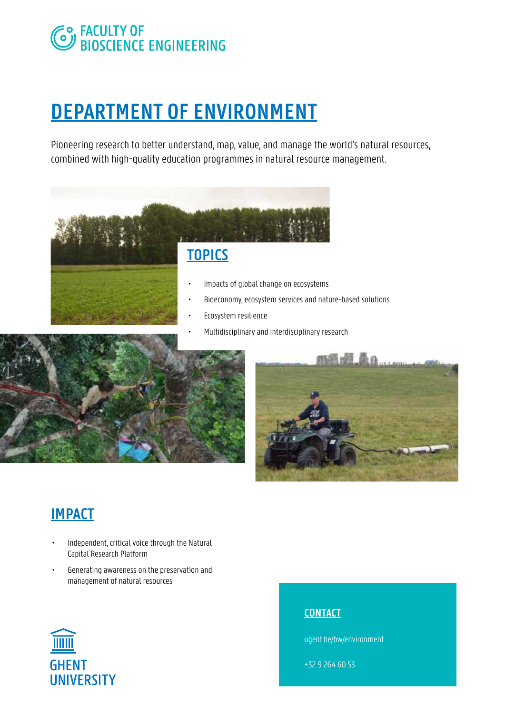# **SO FACULTY OF BIOSCIENCE ENGINEERING**

# **DEPARTMENT OF ENVIRONMENT**

Pioneering research to better understand, map, value, and manage the world's natural resources, combined with high-quality education programmes in natural resource management.



# **TOPICS**

- Impacts of global change on ecosystems
- Bioeconomy, ecosystem services and nature-based solutions
- Ecosystem resilience
	- Multidisciplinary and interdisciplinary research





# **IMPACT**

- Independent, critical voice through the Natural Capital Research Platform
- Generating awareness on the preservation and management of natural resources



### **CONTACT**

ugent.be/bw/environment

+32 9 264 60 53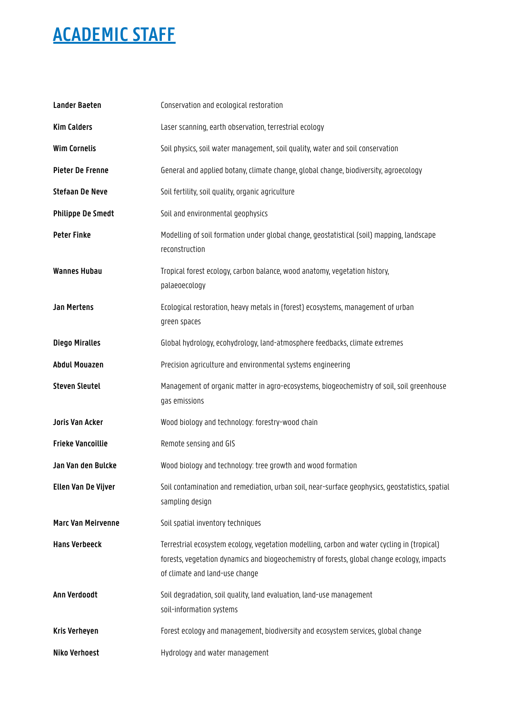| <b>Lander Baeten</b>      | Conservation and ecological restoration                                                                                                                                                                                      |
|---------------------------|------------------------------------------------------------------------------------------------------------------------------------------------------------------------------------------------------------------------------|
| <b>Kim Calders</b>        | Laser scanning, earth observation, terrestrial ecology                                                                                                                                                                       |
| <b>Wim Cornelis</b>       | Soil physics, soil water management, soil quality, water and soil conservation                                                                                                                                               |
| Pieter De Frenne          | General and applied botany, climate change, global change, biodiversity, agroecology                                                                                                                                         |
| <b>Stefaan De Neve</b>    | Soil fertility, soil quality, organic agriculture                                                                                                                                                                            |
| <b>Philippe De Smedt</b>  | Soil and environmental geophysics                                                                                                                                                                                            |
| <b>Peter Finke</b>        | Modelling of soil formation under global change, geostatistical (soil) mapping, landscape<br>reconstruction                                                                                                                  |
| <b>Wannes Hubau</b>       | Tropical forest ecology, carbon balance, wood anatomy, vegetation history,<br>palaeoecology                                                                                                                                  |
| <b>Jan Mertens</b>        | Ecological restoration, heavy metals in (forest) ecosystems, management of urban<br>green spaces                                                                                                                             |
| <b>Diego Miralles</b>     | Global hydrology, ecohydrology, land-atmosphere feedbacks, climate extremes                                                                                                                                                  |
| <b>Abdul Mouazen</b>      | Precision agriculture and environmental systems engineering                                                                                                                                                                  |
| <b>Steven Sleutel</b>     | Management of organic matter in agro-ecosystems, biogeochemistry of soil, soil greenhouse<br>gas emissions                                                                                                                   |
| Joris Van Acker           | Wood biology and technology: forestry-wood chain                                                                                                                                                                             |
| <b>Frieke Vancoillie</b>  | Remote sensing and GIS                                                                                                                                                                                                       |
| Jan Van den Bulcke        | Wood biology and technology: tree growth and wood formation                                                                                                                                                                  |
| Ellen Van De Vijver       | Soil contamination and remediation, urban soil, near-surface geophysics, geostatistics, spatial<br>sampling design                                                                                                           |
| <b>Marc Van Meirvenne</b> | Soil spatial inventory techniques                                                                                                                                                                                            |
| <b>Hans Verbeeck</b>      | Terrestrial ecosystem ecology, vegetation modelling, carbon and water cycling in (tropical)<br>forests, vegetation dynamics and biogeochemistry of forests, global change ecology, impacts<br>of climate and land-use change |
| Ann Verdoodt              | Soil degradation, soil quality, land evaluation, land-use management<br>soil-information systems                                                                                                                             |
| Kris Verheyen             | Forest ecology and management, biodiversity and ecosystem services, global change                                                                                                                                            |
| <b>Niko Verhoest</b>      | Hydrology and water management                                                                                                                                                                                               |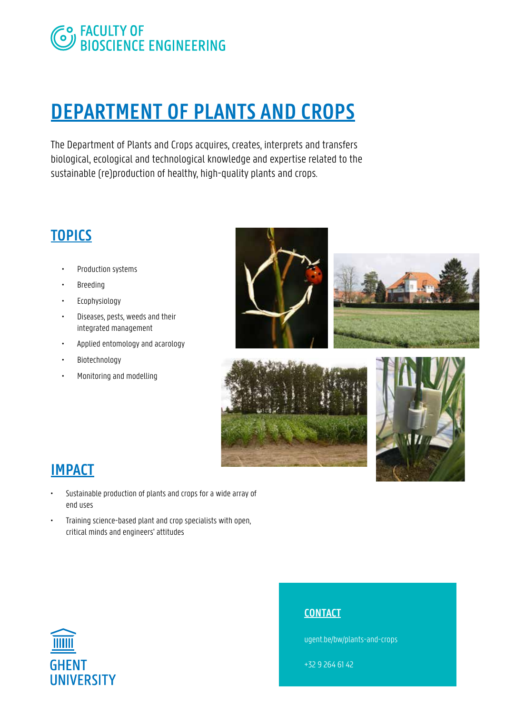

# **DEPARTMENT OF PLANTS AND CROPS**

The Department of Plants and Crops acquires, creates, interprets and transfers biological, ecological and technological knowledge and expertise related to the sustainable (re)production of healthy, high-quality plants and crops.

## **TOPICS**

- Production systems
- Breeding
- Ecophysiology
- Diseases, pests, weeds and their integrated management
- Applied entomology and acarology
- Biotechnology
- Monitoring and modelling









# **IMPACT**

- Sustainable production of plants and crops for a wide array of end uses
- Training science-based plant and crop specialists with open, critical minds and engineers' attitudes



### **CONTACT**

ugent.be/bw/plants-and-crops

+32 9 264 61 42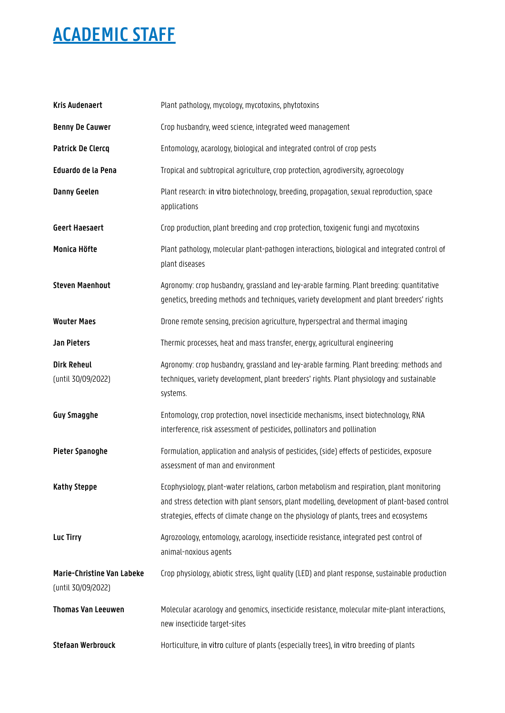| <b>Kris Audenaert</b>                                   | Plant pathology, mycology, mycotoxins, phytotoxins                                                                                                                                                                                                                                   |
|---------------------------------------------------------|--------------------------------------------------------------------------------------------------------------------------------------------------------------------------------------------------------------------------------------------------------------------------------------|
| <b>Benny De Cauwer</b>                                  | Crop husbandry, weed science, integrated weed management                                                                                                                                                                                                                             |
| <b>Patrick De Clercq</b>                                | Entomology, acarology, biological and integrated control of crop pests                                                                                                                                                                                                               |
| Eduardo de la Pena                                      | Tropical and subtropical agriculture, crop protection, agrodiversity, agroecology                                                                                                                                                                                                    |
| <b>Danny Geelen</b>                                     | Plant research: in vitro biotechnology, breeding, propagation, sexual reproduction, space<br>applications                                                                                                                                                                            |
| <b>Geert Haesaert</b>                                   | Crop production, plant breeding and crop protection, toxigenic fungi and mycotoxins                                                                                                                                                                                                  |
| Monica Höfte                                            | Plant pathology, molecular plant-pathogen interactions, biological and integrated control of<br>plant diseases                                                                                                                                                                       |
| <b>Steven Maenhout</b>                                  | Agronomy: crop husbandry, grassland and ley-arable farming. Plant breeding: quantitative<br>genetics, breeding methods and techniques, variety development and plant breeders' rights                                                                                                |
| <b>Wouter Maes</b>                                      | Drone remote sensing, precision agriculture, hyperspectral and thermal imaging                                                                                                                                                                                                       |
| Jan Pieters                                             | Thermic processes, heat and mass transfer, energy, agricultural engineering                                                                                                                                                                                                          |
| <b>Dirk Reheul</b><br>(until 30/09/2022)                | Agronomy: crop husbandry, grassland and ley-arable farming. Plant breeding: methods and<br>techniques, variety development, plant breeders' rights. Plant physiology and sustainable<br>systems.                                                                                     |
| <b>Guy Smagghe</b>                                      | Entomology, crop protection, novel insecticide mechanisms, insect biotechnology, RNA<br>interference, risk assessment of pesticides, pollinators and pollination                                                                                                                     |
| Pieter Spanoghe                                         | Formulation, application and analysis of pesticides, (side) effects of pesticides, exposure<br>assessment of man and environment                                                                                                                                                     |
| <b>Kathy Steppe</b>                                     | Ecophysiology, plant-water relations, carbon metabolism and respiration, plant monitoring<br>and stress detection with plant sensors, plant modelling, development of plant-based control<br>strategies, effects of climate change on the physiology of plants, trees and ecosystems |
| Luc Tirry                                               | Agrozoology, entomology, acarology, insecticide resistance, integrated pest control of<br>animal-noxious agents                                                                                                                                                                      |
| <b>Marie-Christine Van Labeke</b><br>(until 30/09/2022) | Crop physiology, abiotic stress, light quality (LED) and plant response, sustainable production                                                                                                                                                                                      |
| <b>Thomas Van Leeuwen</b>                               | Molecular acarology and genomics, insecticide resistance, molecular mite-plant interactions,<br>new insecticide target-sites                                                                                                                                                         |
| <b>Stefaan Werbrouck</b>                                | Horticulture, in vitro culture of plants (especially trees), in vitro breeding of plants                                                                                                                                                                                             |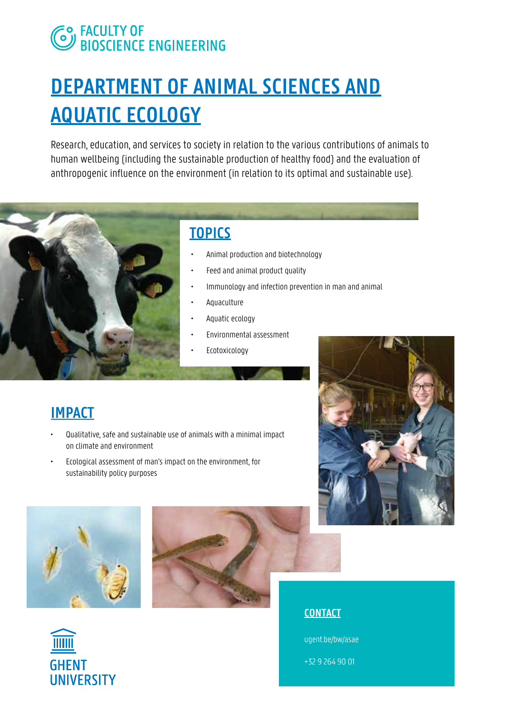# **EO FACULTY OF<br>CONSCIENCE ENGINEERING**

# **DEPARTMENT OF ANIMAL SCIENCES AND AQUATIC ECOLOGY**

Research, education, and services to society in relation to the various contributions of animals to human wellbeing (including the sustainable production of healthy food) and the evaluation of anthropogenic influence on the environment (in relation to its optimal and sustainable use).



## **TOPICS**

- Animal production and biotechnology
- Feed and animal product quality
- Immunology and infection prevention in man and animal
- Aquaculture
- Aquatic ecology
- Environmental assessment
- Ecotoxicology

### **IMPACT**

- Qualitative, safe and sustainable use of animals with a minimal impact on climate and environment
- Ecological assessment of man's impact on the environment, for sustainability policy purposes









ugent.be/bw/asae

+32 9 264 90 01

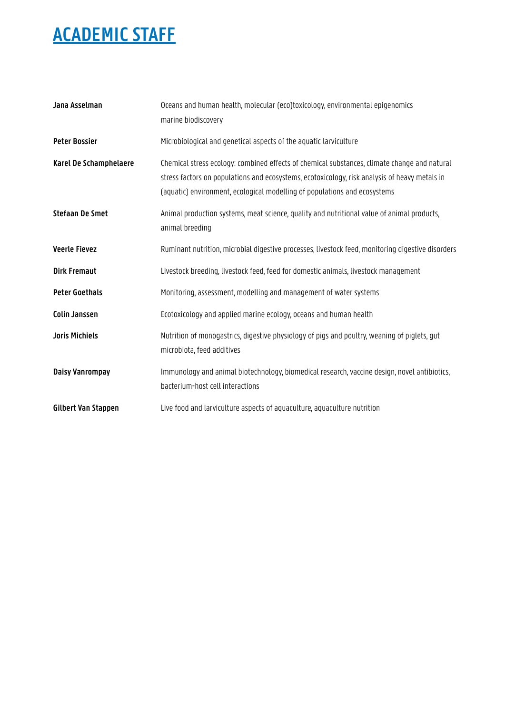| Jana Asselman          | Oceans and human health, molecular (eco)toxicology, environmental epigenomics<br>marine biodiscovery                                                                                                                                                                       |
|------------------------|----------------------------------------------------------------------------------------------------------------------------------------------------------------------------------------------------------------------------------------------------------------------------|
| <b>Peter Bossier</b>   | Microbiological and genetical aspects of the aquatic larviculture                                                                                                                                                                                                          |
| Karel De Schamphelaere | Chemical stress ecology: combined effects of chemical substances, climate change and natural<br>stress factors on populations and ecosystems, ecotoxicology, risk analysis of heavy metals in<br>(aquatic) environment, ecological modelling of populations and ecosystems |
| <b>Stefaan De Smet</b> | Animal production systems, meat science, quality and nutritional value of animal products,<br>animal breeding                                                                                                                                                              |
| <b>Veerle Fievez</b>   | Ruminant nutrition, microbial digestive processes, livestock feed, monitoring digestive disorders                                                                                                                                                                          |
| <b>Dirk Fremaut</b>    | Livestock breeding, livestock feed, feed for domestic animals, livestock management                                                                                                                                                                                        |
| <b>Peter Goethals</b>  | Monitoring, assessment, modelling and management of water systems                                                                                                                                                                                                          |
| <b>Colin Janssen</b>   | Ecotoxicology and applied marine ecology, oceans and human health                                                                                                                                                                                                          |
| <b>Joris Michiels</b>  | Nutrition of monogastrics, digestive physiology of pigs and poultry, weaning of piglets, gut<br>microbiota, feed additives                                                                                                                                                 |
| Daisy Vanrompay        | Immunology and animal biotechnology, biomedical research, vaccine design, novel antibiotics,<br>bacterium-host cell interactions                                                                                                                                           |
| Gilbert Van Stappen    | Live food and larviculture aspects of aquaculture, aquaculture nutrition                                                                                                                                                                                                   |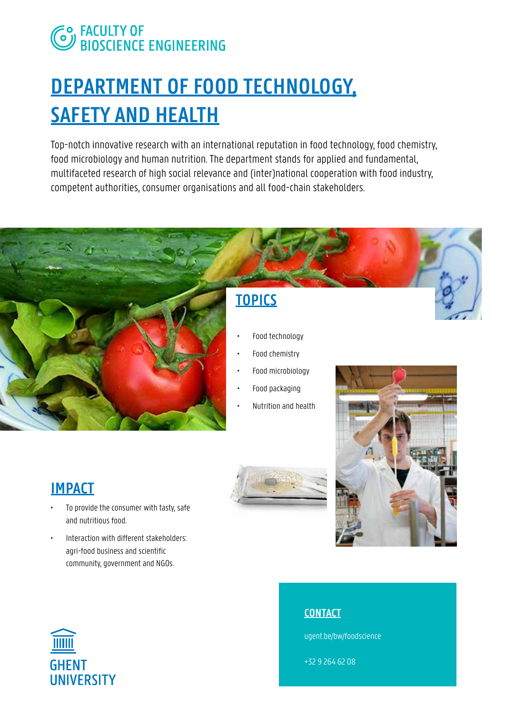# **EO FACULTY OF<br>CONSCIENCE ENGINEERING**

# **DEPARTMENT OF FOOD TECHNOLOGY, SAFETY AND HEALTH**

Top-notch innovative research with an international reputation in food technology, food chemistry, food microbiology and human nutrition. The department stands for applied and fundamental, multifaceted research of high social relevance and (inter)national cooperation with food industry, competent authorities, consumer organisations and all food-chain stakeholders.



## **TOPICS**

- Food technology
- Food chemistry
- Food microbiology
- Food packaging
- Nutrition and health



## **IMPACT**

- To provide the consumer with tasty, safe and nutritious food.
- Interaction with different stakeholders: agri-food business and scientific community, government and NGOs.

### **CONTACT**

ugent.be/bw/foodscience

+32 9 264 62 08

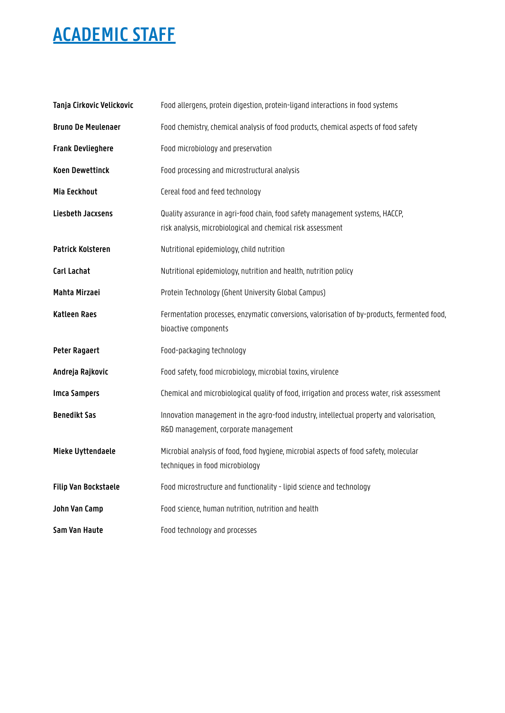| Tanja Cirkovic Velickovic   | Food allergens, protein digestion, protein-ligand interactions in food systems                                                              |
|-----------------------------|---------------------------------------------------------------------------------------------------------------------------------------------|
| <b>Bruno De Meulenaer</b>   | Food chemistry, chemical analysis of food products, chemical aspects of food safety                                                         |
| <b>Frank Devlieghere</b>    | Food microbiology and preservation                                                                                                          |
| <b>Koen Dewettinck</b>      | Food processing and microstructural analysis                                                                                                |
| Mia Eeckhout                | Cereal food and feed technology                                                                                                             |
| Liesbeth Jacxsens           | Quality assurance in agri-food chain, food safety management systems, HACCP,<br>risk analysis, microbiological and chemical risk assessment |
| <b>Patrick Kolsteren</b>    | Nutritional epidemiology, child nutrition                                                                                                   |
| Carl Lachat                 | Nutritional epidemiology, nutrition and health, nutrition policy                                                                            |
| Mahta Mirzaei               | Protein Technology (Ghent University Global Campus)                                                                                         |
| <b>Katleen Raes</b>         | Fermentation processes, enzymatic conversions, valorisation of by-products, fermented food,<br>bioactive components                         |
| <b>Peter Ragaert</b>        | Food-packaging technology                                                                                                                   |
| Andreja Rajkovic            | Food safety, food microbiology, microbial toxins, virulence                                                                                 |
| <b>Imca Sampers</b>         | Chemical and microbiological quality of food, irrigation and process water, risk assessment                                                 |
| <b>Benedikt Sas</b>         | Innovation management in the agro-food industry, intellectual property and valorisation,<br>R&D management, corporate management            |
| Mieke Uyttendaele           | Microbial analysis of food, food hygiene, microbial aspects of food safety, molecular<br>techniques in food microbiology                    |
| <b>Filip Van Bockstaele</b> | Food microstructure and functionality - lipid science and technology                                                                        |
| John Van Camp               | Food science, human nutrition, nutrition and health                                                                                         |
| Sam Van Haute               | Food technology and processes                                                                                                               |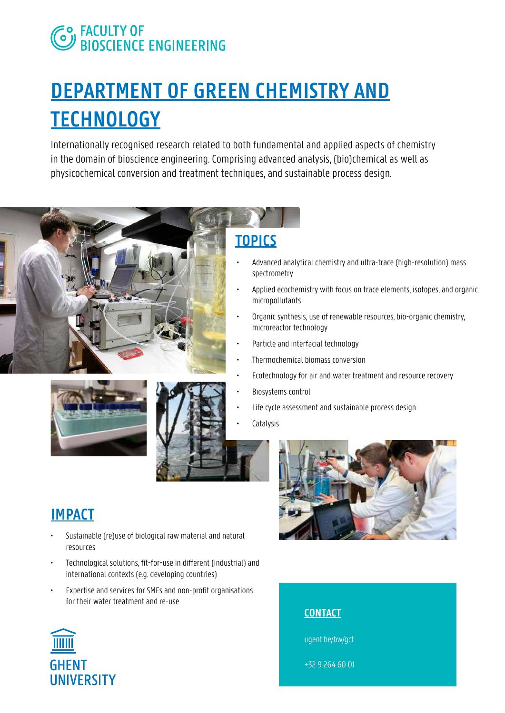# **EO FACULTY OF<br>CONDERENT BIOSCIENCE ENGINEERING**

# **DEPARTMENT OF GREEN CHEMISTRY AND TECHNOLOGY**

Internationally recognised research related to both fundamental and applied aspects of chemistry in the domain of bioscience engineering. Comprising advanced analysis, (bio)chemical as well as physicochemical conversion and treatment techniques, and sustainable process design.







# **TOPICS**

- Advanced analytical chemistry and ultra-trace (high-resolution) mass spectrometry
- Applied ecochemistry with focus on trace elements, isotopes, and organic micropollutants
- Organic synthesis, use of renewable resources, bio-organic chemistry, microreactor technology
- Particle and interfacial technology
- Thermochemical biomass conversion
- Ecotechnology for air and water treatment and resource recovery
- Biosystems control
- Life cycle assessment and sustainable process design
- **Catalysis**



- Sustainable (re)use of biological raw material and natural resources
- Technological solutions, fit-for-use in different (industrial) and international contexts (e.g. developing countries)
- Expertise and services for SMEs and non-profit organisations for their water treatment and re-use







ugent.be/bw/gct

+32 9 264 60 01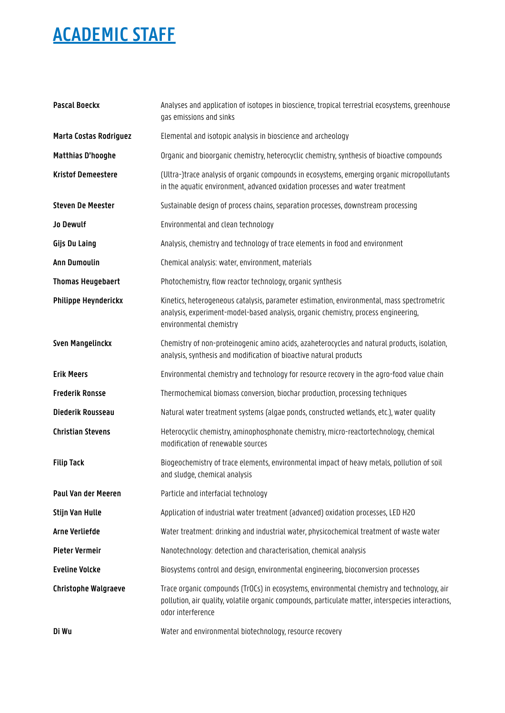| <b>Pascal Boeckx</b>        | Analyses and application of isotopes in bioscience, tropical terrestrial ecosystems, greenhouse<br>gas emissions and sinks                                                                                            |
|-----------------------------|-----------------------------------------------------------------------------------------------------------------------------------------------------------------------------------------------------------------------|
| Marta Costas Rodriguez      | Elemental and isotopic analysis in bioscience and archeology                                                                                                                                                          |
| <b>Matthias D'hooghe</b>    | Organic and bioorganic chemistry, heterocyclic chemistry, synthesis of bioactive compounds                                                                                                                            |
| <b>Kristof Demeestere</b>   | (Ultra-)trace analysis of organic compounds in ecosystems, emerging organic micropollutants<br>in the aquatic environment, advanced oxidation processes and water treatment                                           |
| <b>Steven De Meester</b>    | Sustainable design of process chains, separation processes, downstream processing                                                                                                                                     |
| Jo Dewulf                   | Environmental and clean technology                                                                                                                                                                                    |
| Gijs Du Laing               | Analysis, chemistry and technology of trace elements in food and environment                                                                                                                                          |
| <b>Ann Dumoulin</b>         | Chemical analysis: water, environment, materials                                                                                                                                                                      |
| <b>Thomas Heugebaert</b>    | Photochemistry, flow reactor technology, organic synthesis                                                                                                                                                            |
| Philippe Heynderickx        | Kinetics, heterogeneous catalysis, parameter estimation, environmental, mass spectrometric<br>analysis, experiment-model-based analysis, organic chemistry, process engineering,<br>environmental chemistry           |
| <b>Sven Mangelinckx</b>     | Chemistry of non-proteinogenic amino acids, azaheterocycles and natural products, isolation,<br>analysis, synthesis and modification of bioactive natural products                                                    |
| <b>Erik Meers</b>           | Environmental chemistry and technology for resource recovery in the agro-food value chain                                                                                                                             |
| <b>Frederik Ronsse</b>      | Thermochemical biomass conversion, biochar production, processing techniques                                                                                                                                          |
| Diederik Rousseau           | Natural water treatment systems (algae ponds, constructed wetlands, etc.), water quality                                                                                                                              |
| <b>Christian Stevens</b>    | Heterocyclic chemistry, aminophosphonate chemistry, micro-reactortechnology, chemical<br>modification of renewable sources                                                                                            |
| <b>Filip Tack</b>           | Biogeochemistry of trace elements, environmental impact of heavy metals, pollution of soil<br>and sludge, chemical analysis                                                                                           |
| Paul Van der Meeren         | Particle and interfacial technology                                                                                                                                                                                   |
| Stijn Van Hulle             | Application of industrial water treatment (advanced) oxidation processes, LED H2O                                                                                                                                     |
| <b>Arne Verliefde</b>       | Water treatment: drinking and industrial water, physicochemical treatment of waste water                                                                                                                              |
| Pieter Vermeir              | Nanotechnology: detection and characterisation, chemical analysis                                                                                                                                                     |
| <b>Eveline Volcke</b>       | Biosystems control and design, environmental engineering, bioconversion processes                                                                                                                                     |
| <b>Christophe Walgraeve</b> | Trace organic compounds (TrOCs) in ecosystems, environmental chemistry and technology, air<br>pollution, air quality, volatile organic compounds, particulate matter, interspecies interactions,<br>odor interference |
| Di Wu                       | Water and environmental biotechnology, resource recovery                                                                                                                                                              |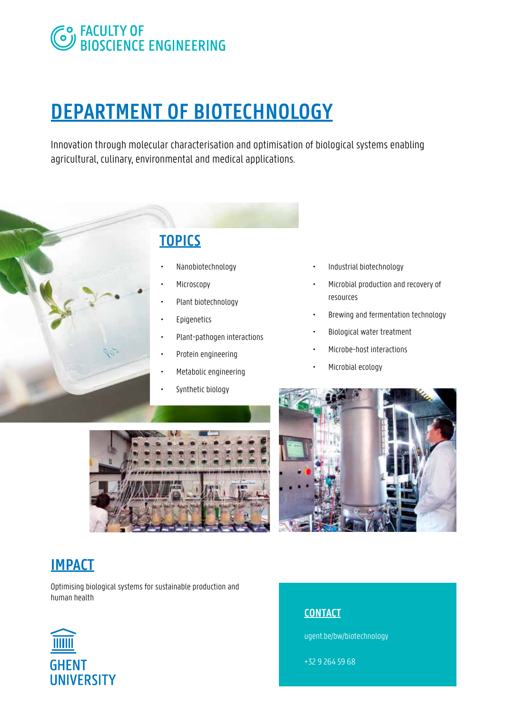# **SO FACULTY OF BIOSCIENCE ENGINEERING**

# **DEPARTMENT OF BIOTECHNOLOGY**

Innovation through molecular characterisation and optimisation of biological systems enabling agricultural, culinary, environmental and medical applications.



# **TOPICS**

- Nanobiotechnology
- **Microscopy**
- Plant biotechnology
- **Epigenetics**
- Plant-pathogen interactions
- Protein engineering
- Metabolic engineering
- Synthetic biology
- Industrial biotechnology
- Microbial production and recovery of resources
- Brewing and fermentation technology
- Biological water treatment
- Microbe-host interactions
- Microbial ecology





### **IMPACT**

Optimising biological systems for sustainable production and human health



### **CONTACT**

ugent.be/bw/biotechnology

+32 9 264 59 68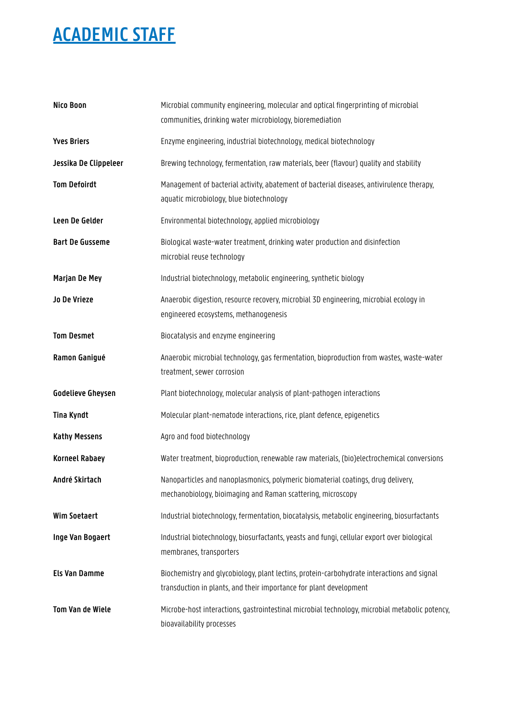| Nico Boon                | Microbial community engineering, molecular and optical fingerprinting of microbial<br>communities, drinking water microbiology, bioremediation                   |
|--------------------------|------------------------------------------------------------------------------------------------------------------------------------------------------------------|
| <b>Yves Briers</b>       | Enzyme engineering, industrial biotechnology, medical biotechnology                                                                                              |
| Jessika De Clippeleer    | Brewing technology, fermentation, raw materials, beer (flavour) quality and stability                                                                            |
| <b>Tom Defoirdt</b>      | Management of bacterial activity, abatement of bacterial diseases, antivirulence therapy,<br>aquatic microbiology, blue biotechnology                            |
| Leen De Gelder           | Environmental biotechnology, applied microbiology                                                                                                                |
| <b>Bart De Gusseme</b>   | Biological waste-water treatment, drinking water production and disinfection<br>microbial reuse technology                                                       |
| Marjan De Mey            | Industrial biotechnology, metabolic engineering, synthetic biology                                                                                               |
| Jo De Vrieze             | Anaerobic digestion, resource recovery, microbial 3D engineering, microbial ecology in<br>engineered ecosystems, methanogenesis                                  |
| <b>Tom Desmet</b>        | Biocatalysis and enzyme engineering                                                                                                                              |
| Ramon Ganigué            | Anaerobic microbial technology, gas fermentation, bioproduction from wastes, waste-water<br>treatment, sewer corrosion                                           |
| <b>Godelieve Gheysen</b> | Plant biotechnology, molecular analysis of plant-pathogen interactions                                                                                           |
| <b>Tina Kyndt</b>        | Molecular plant-nematode interactions, rice, plant defence, epigenetics                                                                                          |
| <b>Kathy Messens</b>     | Agro and food biotechnology                                                                                                                                      |
| <b>Korneel Rabaey</b>    | Water treatment, bioproduction, renewable raw materials, (bio)electrochemical conversions                                                                        |
| André Skirtach           | Nanoparticles and nanoplasmonics, polymeric biomaterial coatings, drug delivery,<br>mechanobiology, bioimaging and Raman scattering, microscopy                  |
| <b>Wim Soetaert</b>      | Industrial biotechnology, fermentation, biocatalysis, metabolic engineering, biosurfactants                                                                      |
| Inge Van Bogaert         | Industrial biotechnology, biosurfactants, yeasts and fungi, cellular export over biological<br>membranes, transporters                                           |
| <b>Els Van Damme</b>     | Biochemistry and qlycobiology, plant lectins, protein-carbohydrate interactions and signal<br>transduction in plants, and their importance for plant development |
| Tom Van de Wiele         | Microbe-host interactions, gastrointestinal microbial technology, microbial metabolic potency,<br>bioavailability processes                                      |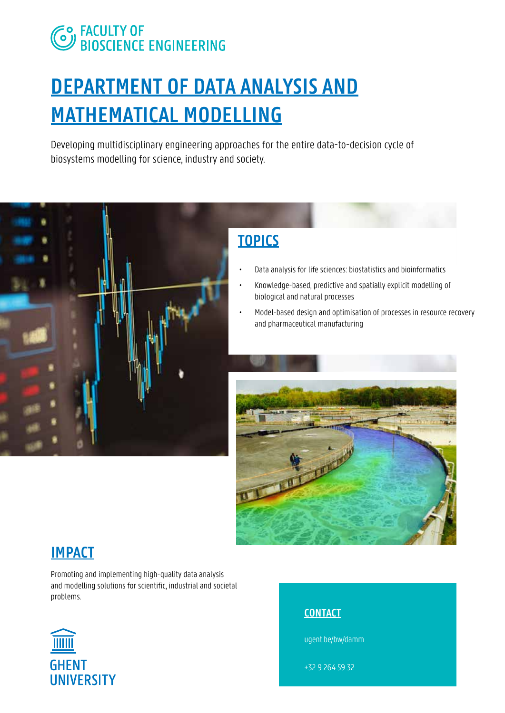# **CO FACULTY OF<br>CO BIOSCIENCE ENGINEERING**

# **DEPARTMENT OF DATA ANALYSIS AND MATHEMATICAL MODELLING**

Developing multidisciplinary engineering approaches for the entire data-to-decision cycle of biosystems modelling for science, industry and society.



# **TOPICS**

- Data analysis for life sciences: biostatistics and bioinformatics
- Knowledge-based, predictive and spatially explicit modelling of biological and natural processes
- Model-based design and optimisation of processes in resource recovery and pharmaceutical manufacturing



### **IMPACT**

Promoting and implementing high-quality data analysis and modelling solutions for scientific, industrial and societal problems.



### **CONTACT**

ugent.be/bw/damm

+32 9 264 59 32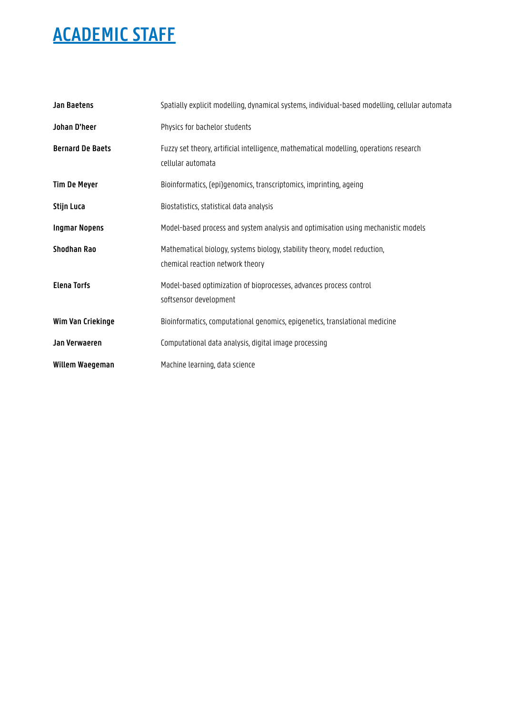| <b>Jan Baetens</b>      | Spatially explicit modelling, dynamical systems, individual-based modelling, cellular automata                |
|-------------------------|---------------------------------------------------------------------------------------------------------------|
| Johan D'heer            | Physics for bachelor students                                                                                 |
| <b>Bernard De Baets</b> | Fuzzy set theory, artificial intelligence, mathematical modelling, operations research<br>cellular automata   |
| <b>Tim De Meyer</b>     | Bioinformatics, (epi)genomics, transcriptomics, imprinting, ageing                                            |
| Stijn Luca              | Biostatistics, statistical data analysis                                                                      |
| <b>Ingmar Nopens</b>    | Model-based process and system analysis and optimisation using mechanistic models                             |
| Shodhan Rao             | Mathematical biology, systems biology, stability theory, model reduction,<br>chemical reaction network theory |
| <b>Elena Torfs</b>      | Model-based optimization of bioprocesses, advances process control<br>softsensor development                  |
| Wim Van Criekinge       | Bioinformatics, computational genomics, epigenetics, translational medicine                                   |
| Jan Verwaeren           | Computational data analysis, digital image processing                                                         |
| Willem Waegeman         | Machine learning, data science                                                                                |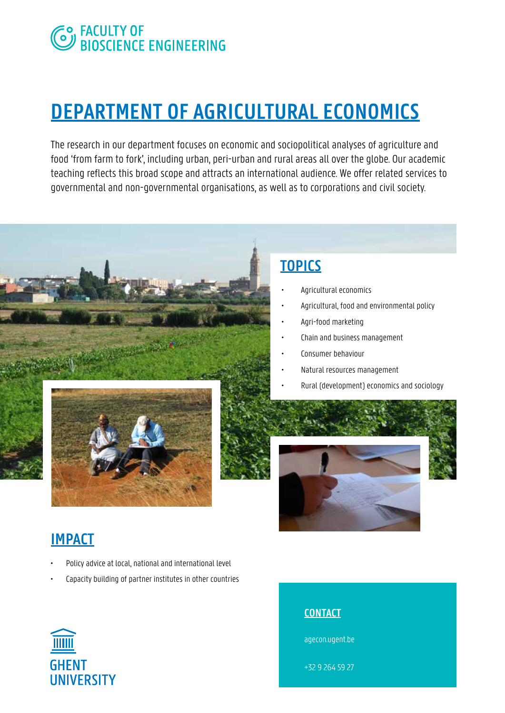# **CO FACULTY OF<br>CO BIOSCIENCE ENGINEERING**

# **DEPARTMENT OF AGRICULTURAL ECONOMICS**

The research in our department focuses on economic and sociopolitical analyses of agriculture and food 'from farm to fork', including urban, peri-urban and rural areas all over the globe. Our academic teaching reflects this broad scope and attracts an international audience. We offer related services to governmental and non-governmental organisations, as well as to corporations and civil society.



# **TOPICS**

- Agricultural economics
- Agricultural, food and environmental policy
- Agri-food marketing
- Chain and business management
- Consumer behaviour
- Natural resources management
	- Rural (development) economics and sociology



### **IMPACT**

- Policy advice at local, national and international level
- Capacity building of partner institutes in other countries



### **CONTACT**

agecon.ugent.be

+32 9 264 59 27